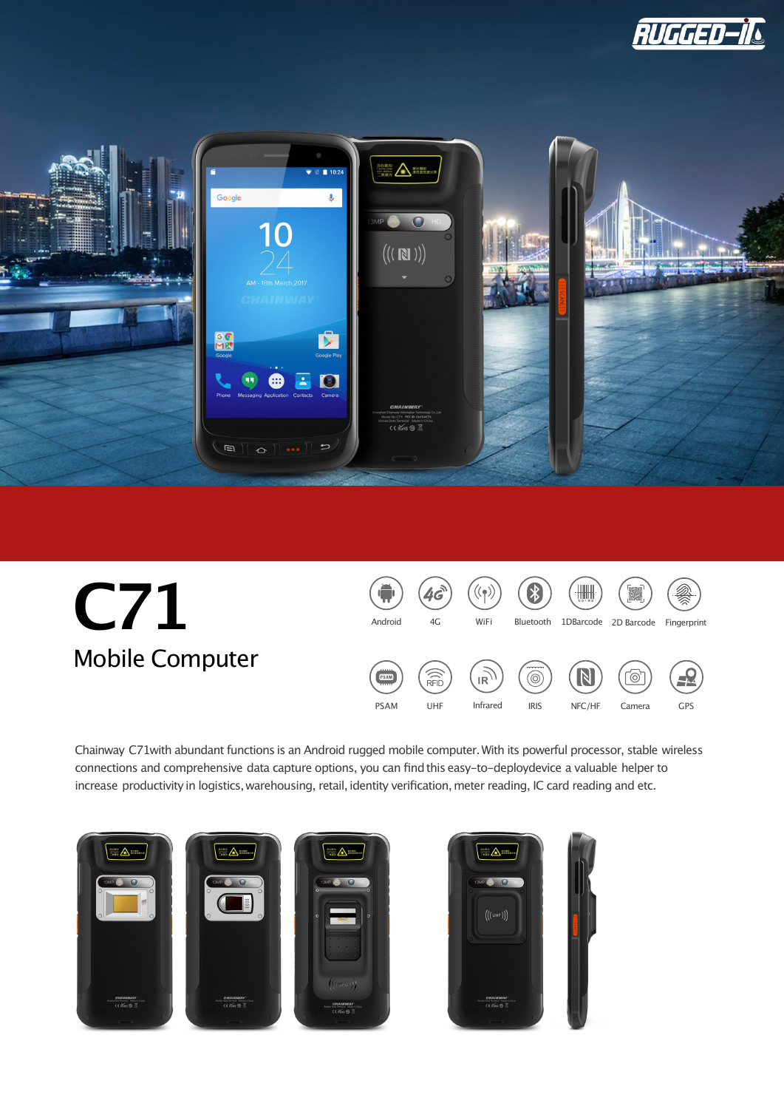





Chainway C71with abundant functions is an Android rugged mobile computer.With its powerful processor, stable wireless connections and comprehensive data capture options, you can findthis easy-to-deploydevice a valuable helper to increase productivity in logistics, warehousing, retail, identity verification, meter reading, IC card reading and etc.